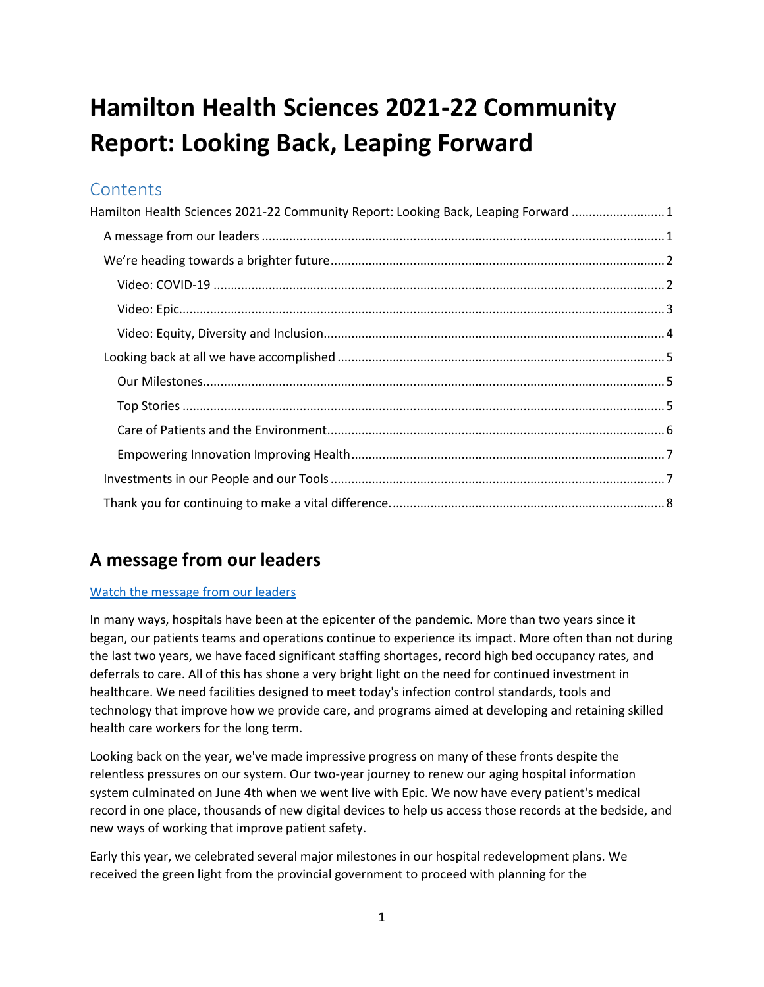# <span id="page-0-0"></span>**Hamilton Health Sciences 2021-22 Community Report: Looking Back, Leaping Forward**

## **Contents**

| Hamilton Health Sciences 2021-22 Community Report: Looking Back, Leaping Forward 1 |  |
|------------------------------------------------------------------------------------|--|
|                                                                                    |  |
|                                                                                    |  |
|                                                                                    |  |
|                                                                                    |  |
|                                                                                    |  |
|                                                                                    |  |
|                                                                                    |  |
|                                                                                    |  |
|                                                                                    |  |
|                                                                                    |  |
|                                                                                    |  |
|                                                                                    |  |
|                                                                                    |  |

# <span id="page-0-1"></span>**A message from our leaders**

#### [Watch the message from our leaders](https://www.youtube.com/watch?v=3T8_VX8XcNo)

In many ways, hospitals have been at the epicenter of the pandemic. More than two years since it began, our patients teams and operations continue to experience its impact. More often than not during the last two years, we have faced significant staffing shortages, record high bed occupancy rates, and deferrals to care. All of this has shone a very bright light on the need for continued investment in healthcare. We need facilities designed to meet today's infection control standards, tools and technology that improve how we provide care, and programs aimed at developing and retaining skilled health care workers for the long term.

Looking back on the year, we've made impressive progress on many of these fronts despite the relentless pressures on our system. Our two-year journey to renew our aging hospital information system culminated on June 4th when we went live with Epic. We now have every patient's medical record in one place, thousands of new digital devices to help us access those records at the bedside, and new ways of working that improve patient safety.

Early this year, we celebrated several major milestones in our hospital redevelopment plans. We received the green light from the provincial government to proceed with planning for the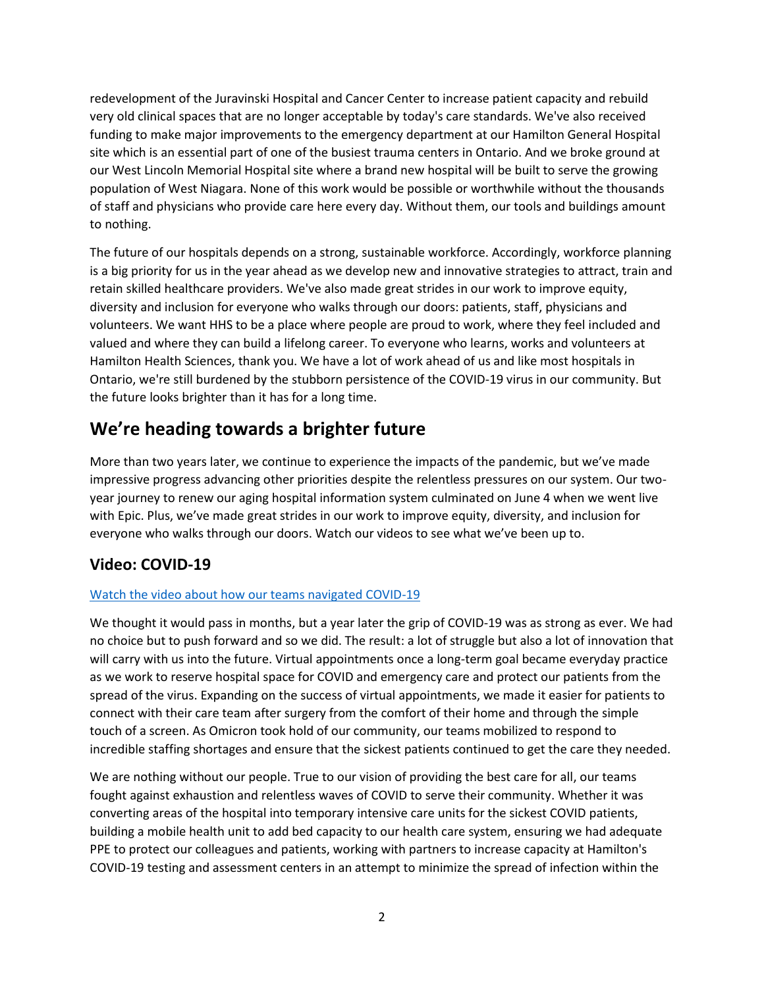redevelopment of the Juravinski Hospital and Cancer Center to increase patient capacity and rebuild very old clinical spaces that are no longer acceptable by today's care standards. We've also received funding to make major improvements to the emergency department at our Hamilton General Hospital site which is an essential part of one of the busiest trauma centers in Ontario. And we broke ground at our West Lincoln Memorial Hospital site where a brand new hospital will be built to serve the growing population of West Niagara. None of this work would be possible or worthwhile without the thousands of staff and physicians who provide care here every day. Without them, our tools and buildings amount to nothing.

The future of our hospitals depends on a strong, sustainable workforce. Accordingly, workforce planning is a big priority for us in the year ahead as we develop new and innovative strategies to attract, train and retain skilled healthcare providers. We've also made great strides in our work to improve equity, diversity and inclusion for everyone who walks through our doors: patients, staff, physicians and volunteers. We want HHS to be a place where people are proud to work, where they feel included and valued and where they can build a lifelong career. To everyone who learns, works and volunteers at Hamilton Health Sciences, thank you. We have a lot of work ahead of us and like most hospitals in Ontario, we're still burdened by the stubborn persistence of the COVID-19 virus in our community. But the future looks brighter than it has for a long time.

# <span id="page-1-0"></span>**We're heading towards a brighter future**

More than two years later, we continue to experience the impacts of the pandemic, but we've made impressive progress advancing other priorities despite the relentless pressures on our system. Our twoyear journey to renew our aging hospital information system culminated on June 4 when we went live with Epic. Plus, we've made great strides in our work to improve equity, diversity, and inclusion for everyone who walks through our doors. Watch our videos to see what we've been up to.

## <span id="page-1-1"></span>**Video: COVID-19**

#### Watch [the video about how our teams navigated COVID-19](https://www.youtube.com/watch?v=8T40erYWyoY&feature=emb_logo)

We thought it would pass in months, but a year later the grip of COVID-19 was as strong as ever. We had no choice but to push forward and so we did. The result: a lot of struggle but also a lot of innovation that will carry with us into the future. Virtual appointments once a long-term goal became everyday practice as we work to reserve hospital space for COVID and emergency care and protect our patients from the spread of the virus. Expanding on the success of virtual appointments, we made it easier for patients to connect with their care team after surgery from the comfort of their home and through the simple touch of a screen. As Omicron took hold of our community, our teams mobilized to respond to incredible staffing shortages and ensure that the sickest patients continued to get the care they needed.

We are nothing without our people. True to our vision of providing the best care for all, our teams fought against exhaustion and relentless waves of COVID to serve their community. Whether it was converting areas of the hospital into temporary intensive care units for the sickest COVID patients, building a mobile health unit to add bed capacity to our health care system, ensuring we had adequate PPE to protect our colleagues and patients, working with partners to increase capacity at Hamilton's COVID-19 testing and assessment centers in an attempt to minimize the spread of infection within the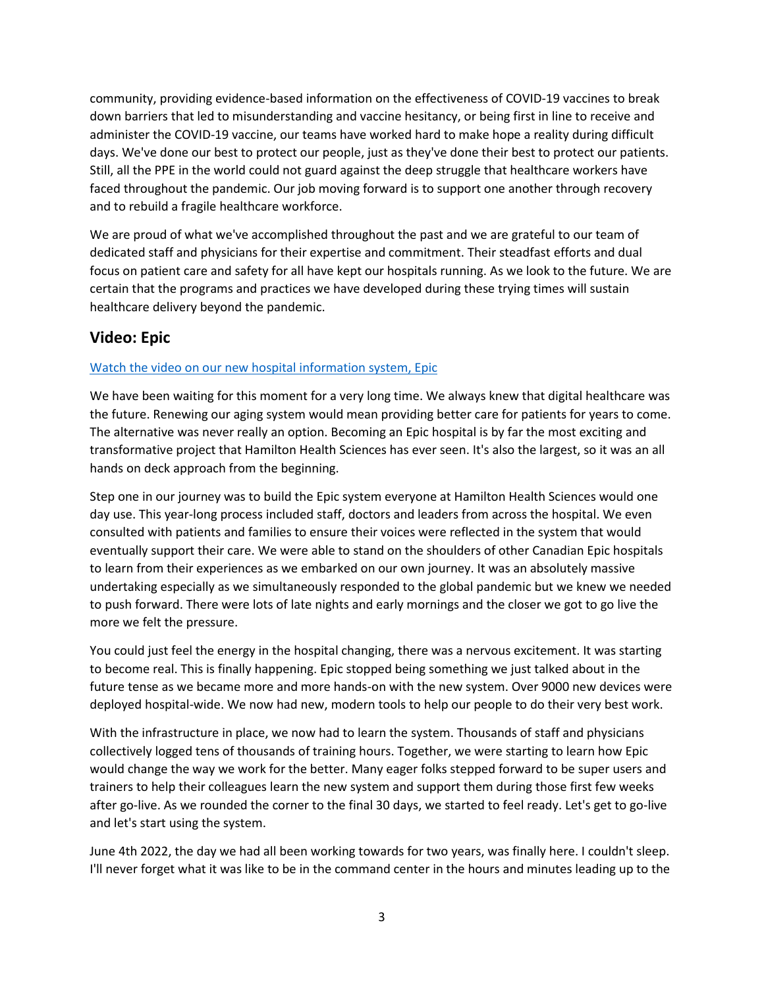community, providing evidence-based information on the effectiveness of COVID-19 vaccines to break down barriers that led to misunderstanding and vaccine hesitancy, or being first in line to receive and administer the COVID-19 vaccine, our teams have worked hard to make hope a reality during difficult days. We've done our best to protect our people, just as they've done their best to protect our patients. Still, all the PPE in the world could not guard against the deep struggle that healthcare workers have faced throughout the pandemic. Our job moving forward is to support one another through recovery and to rebuild a fragile healthcare workforce.

We are proud of what we've accomplished throughout the past and we are grateful to our team of dedicated staff and physicians for their expertise and commitment. Their steadfast efforts and dual focus on patient care and safety for all have kept our hospitals running. As we look to the future. We are certain that the programs and practices we have developed during these trying times will sustain healthcare delivery beyond the pandemic.

### <span id="page-2-0"></span>**Video: Epic**

#### [Watch the video on our new hospital information system, Epic](https://www.youtube.com/watch?v=e4L4MUlQ1tE)

We have been waiting for this moment for a very long time. We always knew that digital healthcare was the future. Renewing our aging system would mean providing better care for patients for years to come. The alternative was never really an option. Becoming an Epic hospital is by far the most exciting and transformative project that Hamilton Health Sciences has ever seen. It's also the largest, so it was an all hands on deck approach from the beginning.

Step one in our journey was to build the Epic system everyone at Hamilton Health Sciences would one day use. This year-long process included staff, doctors and leaders from across the hospital. We even consulted with patients and families to ensure their voices were reflected in the system that would eventually support their care. We were able to stand on the shoulders of other Canadian Epic hospitals to learn from their experiences as we embarked on our own journey. It was an absolutely massive undertaking especially as we simultaneously responded to the global pandemic but we knew we needed to push forward. There were lots of late nights and early mornings and the closer we got to go live the more we felt the pressure.

You could just feel the energy in the hospital changing, there was a nervous excitement. It was starting to become real. This is finally happening. Epic stopped being something we just talked about in the future tense as we became more and more hands-on with the new system. Over 9000 new devices were deployed hospital-wide. We now had new, modern tools to help our people to do their very best work.

With the infrastructure in place, we now had to learn the system. Thousands of staff and physicians collectively logged tens of thousands of training hours. Together, we were starting to learn how Epic would change the way we work for the better. Many eager folks stepped forward to be super users and trainers to help their colleagues learn the new system and support them during those first few weeks after go-live. As we rounded the corner to the final 30 days, we started to feel ready. Let's get to go-live and let's start using the system.

June 4th 2022, the day we had all been working towards for two years, was finally here. I couldn't sleep. I'll never forget what it was like to be in the command center in the hours and minutes leading up to the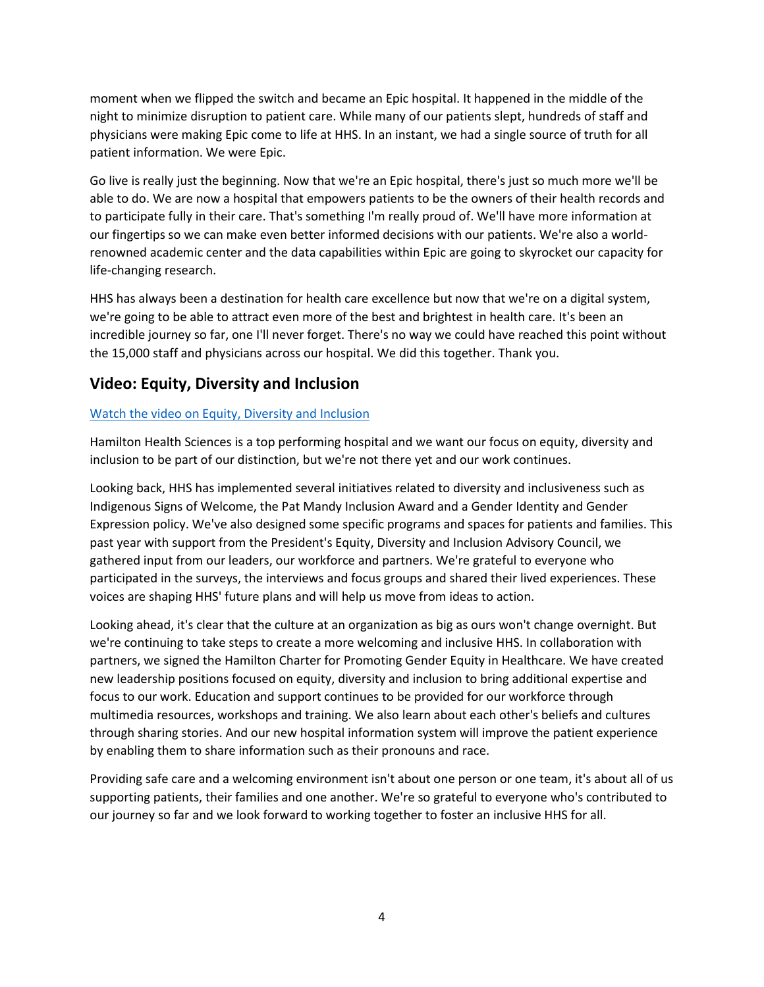moment when we flipped the switch and became an Epic hospital. It happened in the middle of the night to minimize disruption to patient care. While many of our patients slept, hundreds of staff and physicians were making Epic come to life at HHS. In an instant, we had a single source of truth for all patient information. We were Epic.

Go live is really just the beginning. Now that we're an Epic hospital, there's just so much more we'll be able to do. We are now a hospital that empowers patients to be the owners of their health records and to participate fully in their care. That's something I'm really proud of. We'll have more information at our fingertips so we can make even better informed decisions with our patients. We're also a worldrenowned academic center and the data capabilities within Epic are going to skyrocket our capacity for life-changing research.

HHS has always been a destination for health care excellence but now that we're on a digital system, we're going to be able to attract even more of the best and brightest in health care. It's been an incredible journey so far, one I'll never forget. There's no way we could have reached this point without the 15,000 staff and physicians across our hospital. We did this together. Thank you.

### <span id="page-3-0"></span>**Video: Equity, Diversity and Inclusion**

#### [Watch the video on Equity, Diversity and Inclusion](https://www.youtube.com/watch?v=vxgxfGN8afc)

Hamilton Health Sciences is a top performing hospital and we want our focus on equity, diversity and inclusion to be part of our distinction, but we're not there yet and our work continues.

Looking back, HHS has implemented several initiatives related to diversity and inclusiveness such as Indigenous Signs of Welcome, the Pat Mandy Inclusion Award and a Gender Identity and Gender Expression policy. We've also designed some specific programs and spaces for patients and families. This past year with support from the President's Equity, Diversity and Inclusion Advisory Council, we gathered input from our leaders, our workforce and partners. We're grateful to everyone who participated in the surveys, the interviews and focus groups and shared their lived experiences. These voices are shaping HHS' future plans and will help us move from ideas to action.

Looking ahead, it's clear that the culture at an organization as big as ours won't change overnight. But we're continuing to take steps to create a more welcoming and inclusive HHS. In collaboration with partners, we signed the Hamilton Charter for Promoting Gender Equity in Healthcare. We have created new leadership positions focused on equity, diversity and inclusion to bring additional expertise and focus to our work. Education and support continues to be provided for our workforce through multimedia resources, workshops and training. We also learn about each other's beliefs and cultures through sharing stories. And our new hospital information system will improve the patient experience by enabling them to share information such as their pronouns and race.

Providing safe care and a welcoming environment isn't about one person or one team, it's about all of us supporting patients, their families and one another. We're so grateful to everyone who's contributed to our journey so far and we look forward to working together to foster an inclusive HHS for all.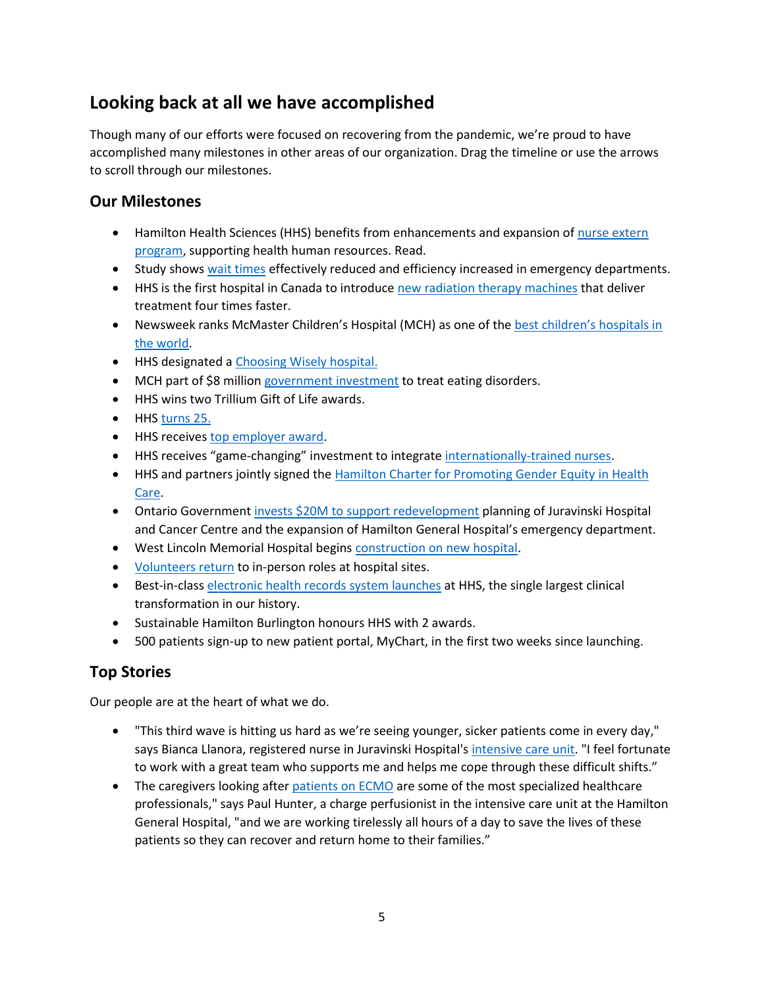# <span id="page-4-0"></span>**Looking back at all we have accomplished**

Though many of our efforts were focused on recovering from the pandemic, we're proud to have accomplished many milestones in other areas of our organization. Drag the timeline or use the arrows to scroll through our milestones.

#### <span id="page-4-1"></span>**Our Milestones**

- Hamilton Health Sciences (HHS) benefits from enhancements and expansion of [nurse extern](https://www.hamiltonhealthsciences.ca/share/successful-nurse-extern-program-enhanced-and-expanded-at-hhs/)  [program,](https://www.hamiltonhealthsciences.ca/share/successful-nurse-extern-program-enhanced-and-expanded-at-hhs/) supporting health human resources. Read.
- Study shows [wait times](https://www.hamiltonhealthsciences.ca/share/emergency-wait-times-website-proves-effective) effectively reduced and efficiency increased in emergency departments.
- **HHS is the first hospital in Canada to introduc[e new radiation therapy machines](https://www.hamiltonhealthsciences.ca/share/halcyon-radiation-therapy-machines/) that deliver** treatment four times faster.
- Newsweek ranks McMaster Children's Hospital (MCH) as one of th[e best children's hospitals in](https://www.hamiltonhealthsciences.ca/share/mcmaster-childrens-hospital-ranked-one-of-the-best-in-the-world/)  [the world.](https://www.hamiltonhealthsciences.ca/share/mcmaster-childrens-hospital-ranked-one-of-the-best-in-the-world/)
- HHS designated [a Choosing Wisely hospital.](https://www.hamiltonhealthsciences.ca/share/choosing-wisely-1/)
- MCH part of \$8 million [government investment](https://www.hamiltonhealthsciences.ca/share/childrens-hospital-eating-disorder-support/) to treat eating disorders.
- HHS wins two Trillium Gift of Life awards.
- HHS [turns 25.](https://www.hamiltonhealthsciences.ca/share/hamilton-health-sciences-turns-25/)
- HHS receive[s top employer award.](https://www.hamiltonhealthsciences.ca/share/topemployer2022/)
- HHS receives "game-changing" investment to integrat[e internationally-trained nurses.](https://www.hamiltonhealthsciences.ca/share/investment-to-integrate-internationally-trained-nurses/)
- HHS and partners jointly signed the [Hamilton Charter for Promoting Gender Equity in Health](https://www.hamiltonhealthsciences.ca/share/advancing-gender-equity-in-health-care-in-hamilton/)  [Care.](https://www.hamiltonhealthsciences.ca/share/advancing-gender-equity-in-health-care-in-hamilton/)
- Ontario Governmen[t invests \\$20M to support redevelopment](https://www.hamiltonhealthsciences.ca/share/ontario-investment-to-modernize-hhs/) planning of Juravinski Hospital and Cancer Centre and the expansion of Hamilton General Hospital's emergency department.
- West Lincoln Memorial Hospital begins [construction on new hospital.](https://www.hamiltonhealthsciences.ca/share/wlmh-moving-to-construction-phase/)
- [Volunteers return](https://www.hamiltonhealthsciences.ca/share/volunteers-are-back/) to in-person roles at hospital sites.
- Best-in-class [electronic health records system launches](https://www.hamiltonhealthsciences.ca/share/epic-launch/) at HHS, the single largest clinical transformation in our history.
- Sustainable Hamilton Burlington honours HHS with 2 awards.
- 500 patients sign-up to new patient portal, MyChart, in the first two weeks since launching.

### <span id="page-4-2"></span>**Top Stories**

Our people are at the heart of what we do.

- "This third wave is hitting us hard as we're seeing younger, sicker patients come in every day," says Bianca Llanora, registered nurse in Juravinski Hospital's [intensive care unit.](https://www.hamiltonhealthsciences.ca/share/pushing-beyond-our-limits-inside-an-icu/) "I feel fortunate to work with a great team who supports me and helps me cope through these difficult shifts."
- The caregivers looking after [patients on ECMO](https://www.hamiltonhealthsciences.ca/share/angels-in-scrubs-ecmo/) are some of the most specialized healthcare professionals," says Paul Hunter, a charge perfusionist in the intensive care unit at the Hamilton General Hospital, "and we are working tirelessly all hours of a day to save the lives of these patients so they can recover and return home to their families."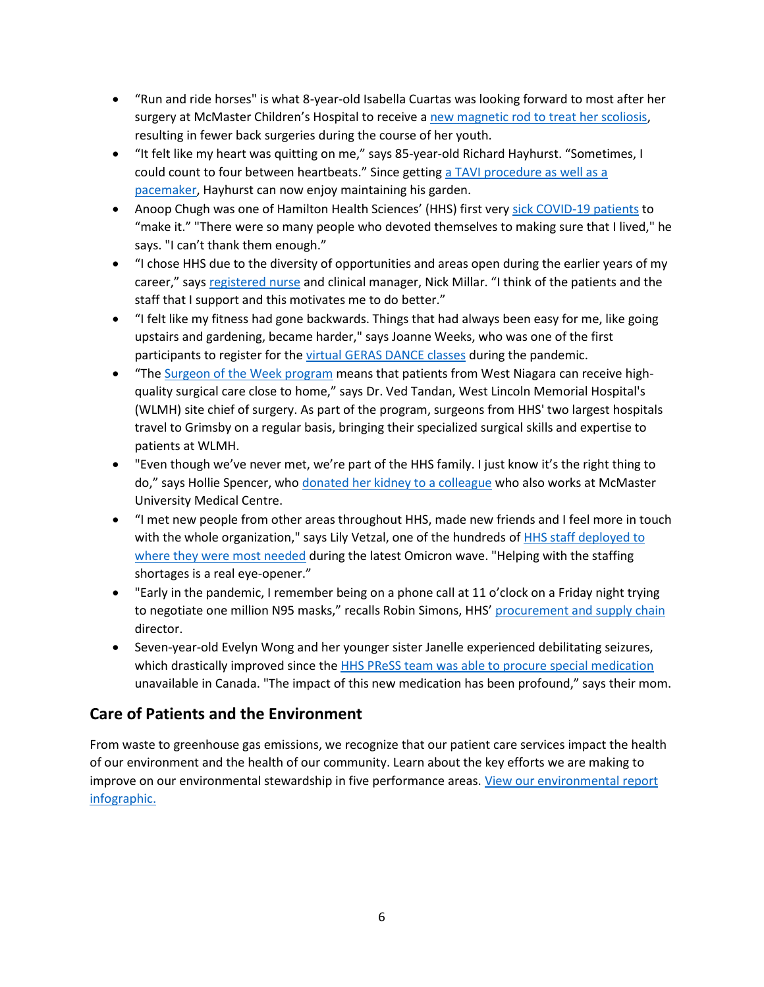- "Run and ride horses" is what 8-year-old Isabella Cuartas was looking forward to most after her surgery at McMaster Children's Hospital to receive a [new magnetic rod to treat her scoliosis,](https://www.hamiltonhealthsciences.ca/share/fewer-back-surgeries-for-kids-with-new-technology/) resulting in fewer back surgeries during the course of her youth.
- "It felt like my heart was quitting on me," says 85-year-old Richard Hayhurst. "Sometimes, I could count to four between heartbeats." Since getting [a TAVI procedure as well as a](https://www.hamiltonhealthsciences.ca/share/remote-heart-monitor-prevents-emergency/)  [pacemaker,](https://www.hamiltonhealthsciences.ca/share/remote-heart-monitor-prevents-emergency/) Hayhurst can now enjoy maintaining his garden.
- Anoop Chugh was one of Hamilton Health Sciences' (HHS) first very [sick COVID-19](https://www.hamiltonhealthsciences.ca/share/early-covid-patient-beats-the-odds/) patients to "make it." "There were so many people who devoted themselves to making sure that I lived," he says. "I can't thank them enough."
- "I chose HHS due to the diversity of opportunities and areas open during the earlier years of my career," says [registered nurse](https://www.hamiltonhealthsciences.ca/share/nursing-at-hhs-an-absolute-dream/) and clinical manager, Nick Millar. "I think of the patients and the staff that I support and this motivates me to do better."
- "I felt like my fitness had gone backwards. Things that had always been easy for me, like going upstairs and gardening, became harder," says Joanne Weeks, who was one of the first participants to register for the [virtual GERAS DANCE classes](https://www.hamiltonhealthsciences.ca/share/geras-dance-expands-nationally/) during the pandemic.
- "The [Surgeon of the Week program](https://www.hamiltonhealthsciences.ca/share/surgeon-of-the-week-program) means that patients from West Niagara can receive highquality surgical care close to home," says Dr. Ved Tandan, West Lincoln Memorial Hospital's (WLMH) site chief of surgery. As part of the program, surgeons from HHS' two largest hospitals travel to Grimsby on a regular basis, bringing their specialized surgical skills and expertise to patients at WLMH.
- "Even though we've never met, we're part of the HHS family. I just know it's the right thing to do," says Hollie Spencer, who [donated her kidney to a colleague](https://www.hamiltonhealthsciences.ca/share/kidney-donation-from-a-colleague/) who also works at McMaster University Medical Centre.
- "I met new people from other areas throughout HHS, made new friends and I feel more in touch with the whole organization," says Lily Vetzal, one of the hundreds of **HHS** staff deployed to [where they were most needed](https://www.hamiltonhealthsciences.ca/share/deployment-to-front-lines/) during the latest Omicron wave. "Helping with the staffing shortages is a real eye-opener."
- "Early in the pandemic, I remember being on a phone call at 11 o'clock on a Friday night trying to negotiate one million N95 masks," recalls Robin Simons, HHS' [procurement and supply chain](https://www.hamiltonhealthsciences.ca/share/responding-to-demands-for-ppe/) director.
- Seven-year-old Evelyn Wong and her younger sister Janelle experienced debilitating seizures, which drastically improved since the [HHS PReSS team was able to procure special medication](https://www.hamiltonhealthsciences.ca/share/pharmacy-press-team/) unavailable in Canada. "The impact of this new medication has been profound," says their mom.

### <span id="page-5-0"></span>**Care of Patients and the Environment**

From waste to greenhouse gas emissions, we recognize that our patient care services impact the health of our environment and the health of our community. Learn about the key efforts we are making to improve on our environmental stewardship in five performance areas. View our environmental report [infographic.](https://www.hamiltonhealthsciences.ca/wp-content/uploads/2022/04/B03828-EnviroProgReport-FINAL.pdf)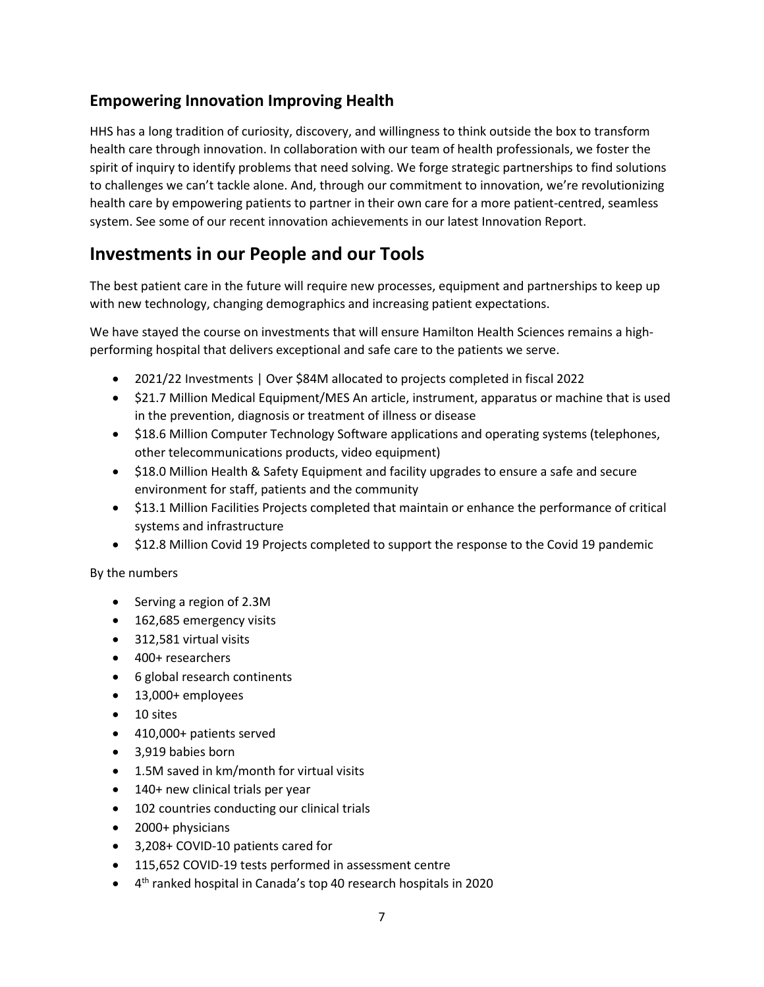## <span id="page-6-0"></span>**Empowering Innovation Improving Health**

HHS has a long tradition of curiosity, discovery, and willingness to think outside the box to transform health care through innovation. In collaboration with our team of health professionals, we foster the spirit of inquiry to identify problems that need solving. We forge strategic partnerships to find solutions to challenges we can't tackle alone. And, through our commitment to innovation, we're revolutionizing health care by empowering patients to partner in their own care for a more patient-centred, seamless system. See some of our recent innovation achievements in our latest Innovation Report.

## <span id="page-6-1"></span>**Investments in our People and our Tools**

The best patient care in the future will require new processes, equipment and partnerships to keep up with new technology, changing demographics and increasing patient expectations.

We have stayed the course on investments that will ensure Hamilton Health Sciences remains a highperforming hospital that delivers exceptional and safe care to the patients we serve.

- 2021/22 Investments | Over \$84M allocated to projects completed in fiscal 2022
- \$21.7 Million Medical Equipment/MES An article, instrument, apparatus or machine that is used in the prevention, diagnosis or treatment of illness or disease
- \$18.6 Million Computer Technology Software applications and operating systems (telephones, other telecommunications products, video equipment)
- \$18.0 Million Health & Safety Equipment and facility upgrades to ensure a safe and secure environment for staff, patients and the community
- \$13.1 Million Facilities Projects completed that maintain or enhance the performance of critical systems and infrastructure
- \$12.8 Million Covid 19 Projects completed to support the response to the Covid 19 pandemic

By the numbers

- Serving a region of 2.3M
- 162,685 emergency visits
- 312,581 virtual visits
- 400+ researchers
- 6 global research continents
- 13,000+ employees
- 10 sites
- 410,000+ patients served
- 3,919 babies born
- 1.5M saved in km/month for virtual visits
- 140+ new clinical trials per year
- 102 countries conducting our clinical trials
- 2000+ physicians
- 3,208+ COVID-10 patients cared for
- 115,652 COVID-19 tests performed in assessment centre
- 4 th ranked hospital in Canada's top 40 research hospitals in 2020